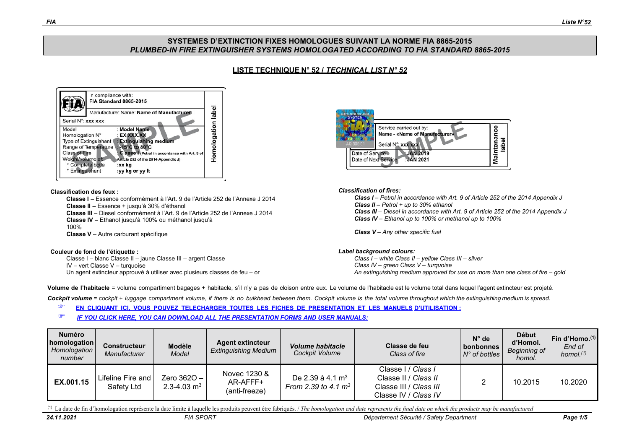## **SYSTEMES D'EXTINCTION FIXES HOMOLOGUES SUIVANT LA NORME FIA 8865-2015** *PLUMBED-IN FIRE EXTINGUISHER SYSTEMS HOMOLOGATED ACCORDING TO FIA STANDARD 8865-2015*

# **LISTE TECHNIQUE N° 52 /** *TECHNICAL LIST N° 52*



#### **Classification des feux :**

**Classe I** – Essence conformément à l'Art. 9 de l'Article 252 de l'Annexe J 2014 **Classe II** – Essence + jusqu'à 30% d'éthanol **Classe III** – Diesel conformément à l'Art. 9 de l'Article 252 de l'Annexe J 2014 **Classe IV** – Ethanol jusqu'à 100% ou méthanol jusqu'à 100% **Classe V** – Autre carburant spécifique

#### **Couleur de fond de l'étiquette :**

Classe I – blanc Classe II – jaune Classe III – argent Classe IV – vert Classe V – turquoise Un agent extincteur approuvé à utiliser avec plusieurs classes de feu – or



### *Classification of fires:*

*Class I – Petrol in accordance with Art. 9 of Article 252 of the 2014 Appendix J Class II – Petrol + up to 30% ethanol Class III – Diesel in accordance with Art. 9 of Article 252 of the 2014 Appendix J Class IV – Ethanol up to 100% or methanol up to 100%*

*Class V – Any other specific fuel*

### *Label background colours:*

*Class I – white Class II – yellow Class III – silver Class IV – green Class V – turquoise An extinguishing medium approved for use on more than one class of fire – gold*

**Volume de l'habitacle** = volume compartiment bagages + habitacle, s'il n'y a pas de cloison entre eux. Le volume de l'habitacle est le volume total dans lequel l'agent extincteur est projeté.

Cockpit volume = cockpit + luggage compartment volume, if there is no bulkhead between them. Cockpit volume is the total volume throughout which the extinguishing medium is spread.

- **EN CLIQUANT ICI, VOUS POUVEZ TELECHARGER TOUTES LES FICHES DE [PRESENTATION](http://www.fia.com/presentation-form-and-installation-guide) ET LES MANU[ELS](http://www.fia.com/presentation-form-and-installation-guide) [D'UTILISATION :](http://www.fia.com/presentation-form-and-installation-guide)**
- *IF YOU CLICK HERE, YOU CAN DOWNLOAD ALL THE [PRESENTATION FORMS](http://www.fia.com/presentation-form-and-installation-guide) AND USER MANUALS:*

| Numéro<br>homologation<br>Homologation<br>number | <b>Constructeur</b><br>Manufacturer | <b>Modèle</b><br><b>Model</b>  | <b>Agent extincteur</b><br><b>Extinguishing Medium</b> | <b>Volume habitacle</b><br>Cockpit Volume              | Classe de feu<br>Class of fire                                                                      | $N^{\circ}$ de<br>bonbonnes<br>$N^{\circ}$ of bottles | <b>Début</b><br>d'Homol.<br><b>Beginning of</b><br>homol. | Fin d'Homo.(1)<br>End of<br>homol. $(1)$ |
|--------------------------------------------------|-------------------------------------|--------------------------------|--------------------------------------------------------|--------------------------------------------------------|-----------------------------------------------------------------------------------------------------|-------------------------------------------------------|-----------------------------------------------------------|------------------------------------------|
| EX.001.15                                        | Lifeline Fire and<br>Safety Ltd     | Zero $3620 -$<br>2.3-4.03 $m3$ | Novec 1230 &<br>AR-AFFF+<br>(anti-freeze)              | De 2.39 à 4.1 m <sup>3</sup><br>From 2.39 to 4.1 $m^3$ | Classe I / Class I<br>Classe II / Class II<br>Classe III / Class III<br>Classe IV / <i>Class IV</i> |                                                       | 10.2015                                                   | 10.2020                                  |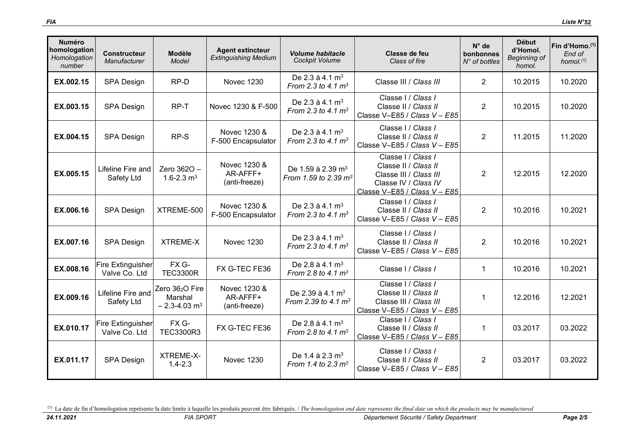| <b>Numéro</b><br>homologation<br>Homologation<br>number | <b>Constructeur</b><br>Manufacturer       | Modèle<br>Model                                           | <b>Agent extincteur</b><br><b>Extinguishing Medium</b> | <b>Volume habitacle</b><br>Cockpit Volume                | Classe de feu<br>Class of fire                                                                                               | $N^{\circ}$ de<br>bonbonnes<br>$N^{\circ}$ of bottles | <b>Début</b><br>d'Homol.<br><b>Beginning of</b><br>homol. | Fin d'Homo. <sup>(1)</sup><br>End of<br>homol. $(1)$ |
|---------------------------------------------------------|-------------------------------------------|-----------------------------------------------------------|--------------------------------------------------------|----------------------------------------------------------|------------------------------------------------------------------------------------------------------------------------------|-------------------------------------------------------|-----------------------------------------------------------|------------------------------------------------------|
| EX.002.15                                               | <b>SPA Design</b>                         | RP-D                                                      | <b>Novec 1230</b>                                      | De 2.3 à 4.1 $m^3$<br>From 2.3 to 4.1 $m^3$              | Classe III / Class III                                                                                                       | $\overline{2}$                                        | 10.2015                                                   | 10.2020                                              |
| EX.003.15                                               | <b>SPA Design</b>                         | RP-T                                                      | Novec 1230 & F-500                                     | De 2.3 à 4.1 $m^3$<br>From 2.3 to 4.1 $m^3$              | Classe I / Class /<br>Classe II / Class II<br>Classe V-E85 / Class V - E85                                                   | $\overline{2}$                                        | 10.2015                                                   | 10.2020                                              |
| EX.004.15                                               | <b>SPA Design</b>                         | RP-S                                                      | Novec 1230 &<br>F-500 Encapsulator                     | De 2.3 à 4.1 $m3$<br>From 2.3 to 4.1 $m^3$               | Classe I / Class I<br>Classe II / Class II<br>Classe V-E85 / Class V - E85                                                   | $\overline{2}$                                        | 11.2015                                                   | 11.2020                                              |
| EX.005.15                                               | Lifeline Fire and<br>Safety Ltd           | Zero 3620 -<br>1.6-2.3 $m3$                               | Novec 1230 &<br>AR-AFFF+<br>(anti-freeze)              | De 1.59 à 2.39 m <sup>3</sup><br>From 1.59 to 2.39 $m^3$ | Classe I / Class I<br>Classe II / Class II<br>Classe III / Class III<br>Classe IV / Class IV<br>Classe V-E85 / Class V - E85 | $\overline{2}$                                        | 12.2015                                                   | 12.2020                                              |
| EX.006.16                                               | <b>SPA Design</b>                         | XTREME-500                                                | Novec 1230 &<br>F-500 Encapsulator                     | De 2.3 à 4.1 $m^3$<br>From 2.3 to 4.1 $m^3$              | Classe I / Class I<br>Classe II / Class II<br>Classe V-E85 / Class V - E85                                                   | $\overline{2}$                                        | 10.2016                                                   | 10.2021                                              |
| EX.007.16                                               | <b>SPA Design</b>                         | <b>XTREME-X</b>                                           | <b>Novec 1230</b>                                      | De 2.3 à 4.1 $m^3$<br>From 2.3 to 4.1 $m^3$              | Classe I / Class I<br>Classe II / Class II<br>Classe V-E85 / Class V - E85                                                   | 2                                                     | 10.2016                                                   | 10.2021                                              |
| EX.008.16                                               | <b>Fire Extinguisher</b><br>Valve Co. Ltd | FX G-<br><b>TEC3300R</b>                                  | FX G-TEC FE36                                          | De 2.8 à 4.1 m <sup>3</sup><br>From 2.8 to 4.1 $m^3$     | Classe I / Class I                                                                                                           | $\mathbf{1}$                                          | 10.2016                                                   | 10.2021                                              |
| EX.009.16                                               | Lifeline Fire and<br>Safety Ltd           | Zero 362O Fire<br>Marshal<br>$-2.3 - 4.03$ m <sup>3</sup> | Novec 1230 &<br>AR-AFFF+<br>(anti-freeze)              | De 2.39 à 4.1 m <sup>3</sup><br>From 2.39 to 4.1 $m^3$   | Classe I / Class I<br>Classe II / Class II<br>Classe III / Class III<br>Classe V-E85 / Class V - E85                         | $\mathbf{1}$                                          | 12.2016                                                   | 12.2021                                              |
| EX.010.17                                               | <b>Fire Extinguisher</b><br>Valve Co. Ltd | FX G-<br>TEC3300R3                                        | FX G-TEC FE36                                          | De 2.8 à 4.1 $m^3$<br>From 2.8 to 4.1 $m^3$              | Classe I / Class I<br>Classe II / Class II<br>Classe V-E85 / Class V - E85                                                   | $\mathbf 1$                                           | 03.2017                                                   | 03.2022                                              |
| EX.011.17                                               | <b>SPA Design</b>                         | XTREME-X-<br>$1.4 - 2.3$                                  | <b>Novec 1230</b>                                      | De 1.4 à 2.3 m <sup>3</sup><br>From 1.4 to 2.3 $m^3$     | Classe I / Class I<br>Classe II / Class II<br>Classe V-E85 / Class V - E85                                                   | $\overline{2}$                                        | 03.2017                                                   | 03.2022                                              |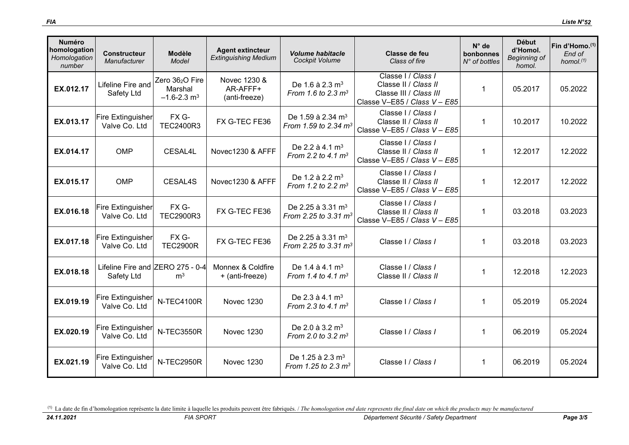| <b>Numéro</b><br>homologation<br>Homologation<br>number | <b>Constructeur</b><br>Manufacturer            | <b>Modèle</b><br>Model                                                | <b>Agent extincteur</b><br><b>Extinguishing Medium</b> | <b>Volume habitacle</b><br>Cockpit Volume                         | Classe de feu<br>Class of fire                                                                       | $N^{\circ}$ de<br>bonbonnes<br>$N^{\circ}$ of bottles | <b>Début</b><br>d'Homol.<br>Beginning of<br>homol. | Fin d'Homo. <sup>(1)</sup><br>End of<br>homol. $(1)$ |
|---------------------------------------------------------|------------------------------------------------|-----------------------------------------------------------------------|--------------------------------------------------------|-------------------------------------------------------------------|------------------------------------------------------------------------------------------------------|-------------------------------------------------------|----------------------------------------------------|------------------------------------------------------|
| EX.012.17                                               | Lifeline Fire and<br>Safety Ltd                | Zero 36 <sub>2</sub> O Fire<br>Marshal<br>$-1.6 - 2.3$ m <sup>3</sup> | Novec 1230 &<br>AR-AFFF+<br>(anti-freeze)              | De 1.6 à 2.3 m <sup>3</sup><br>From 1.6 to 2.3 m <sup>3</sup>     | Classe I / Class I<br>Classe II / Class II<br>Classe III / Class III<br>Classe V-E85 / Class V - E85 | $\mathbf{1}$                                          | 05.2017                                            | 05.2022                                              |
| EX.013.17                                               | <b>Fire Extinguisher</b><br>Valve Co. Ltd      | FX G-<br>TEC2400R3                                                    | FX G-TEC FE36                                          | De 1.59 à 2.34 m <sup>3</sup><br>From 1.59 to 2.34 $m^3$          | Classe I / Class /<br>Classe II / Class II<br>Classe V-E85 / Class V - E85                           | $\mathbf{1}$                                          | 10.2017                                            | 10.2022                                              |
| EX.014.17                                               | <b>OMP</b>                                     | CESAL4L                                                               | Novec1230 & AFFF                                       | De 2.2 à 4.1 $m^3$<br>From 2.2 to 4.1 $m^3$                       | Classe I / Class /<br>Classe II / Class II<br>Classe V-E85 / Class V - E85                           | $\mathbf 1$                                           | 12.2017                                            | 12.2022                                              |
| EX.015.17                                               | <b>OMP</b>                                     | CESAL4S                                                               | Novec1230 & AFFF                                       | De 1.2 à 2.2 m <sup>3</sup><br>From 1.2 to 2.2 $m^3$              | Classe I / Class /<br>Classe II / Class II<br>Classe V-E85 / Class V - E85                           | 1                                                     | 12.2017                                            | 12.2022                                              |
| EX.016.18                                               | <b>Fire Extinguisher</b><br>Valve Co. Ltd      | FX G-<br>TEC2900R3                                                    | FX G-TEC FE36                                          | De 2.25 à 3.31 m <sup>3</sup><br>From 2.25 to 3.31 m <sup>3</sup> | Classe I / Class /<br>Classe II / Class II<br>Classe V-E85 / Class V - E85                           | $\mathbf 1$                                           | 03.2018                                            | 03.2023                                              |
| EX.017.18                                               | <b>Fire Extinguisher</b><br>Valve Co. Ltd      | FX G-<br><b>TEC2900R</b>                                              | FX G-TEC FE36                                          | De 2.25 à 3.31 m <sup>3</sup><br>From 2.25 to 3.31 m <sup>3</sup> | Classe   / Class                                                                                     | $\mathbf 1$                                           | 03.2018                                            | 03.2023                                              |
| EX.018.18                                               | Lifeline Fire and ZERO 275 - 0-4<br>Safety Ltd | m <sup>3</sup>                                                        | Monnex & Coldfire<br>+ (anti-freeze)                   | De 1.4 à 4.1 m <sup>3</sup><br>From 1.4 to 4.1 $m^3$              | Classe I / Class I<br>Classe II / Class II                                                           | $\mathbf 1$                                           | 12.2018                                            | 12.2023                                              |
| EX.019.19                                               | Fire Extinguisher<br>Valve Co. Ltd             | N-TEC4100R                                                            | <b>Novec 1230</b>                                      | De 2.3 à 4.1 $m3$<br>From 2.3 to 4.1 $m^3$                        | Classe I / Class I                                                                                   | $\mathbf{1}$                                          | 05.2019                                            | 05.2024                                              |
| EX.020.19                                               | <b>Fire Extinguisher</b><br>Valve Co. Ltd      | N-TEC3550R                                                            | <b>Novec 1230</b>                                      | De 2.0 à 3.2 m <sup>3</sup><br>From 2.0 to 3.2 $m^3$              | Classe I / Class I                                                                                   | $\mathbf{1}$                                          | 06.2019                                            | 05.2024                                              |
| EX.021.19                                               | <b>Fire Extinguisher</b><br>Valve Co. Ltd      | N-TEC2950R                                                            | <b>Novec 1230</b>                                      | De 1.25 à 2.3 m <sup>3</sup><br>From 1.25 to 2.3 $m^3$            | Classe I / Class /                                                                                   | $\mathbf{1}$                                          | 06.2019                                            | 05.2024                                              |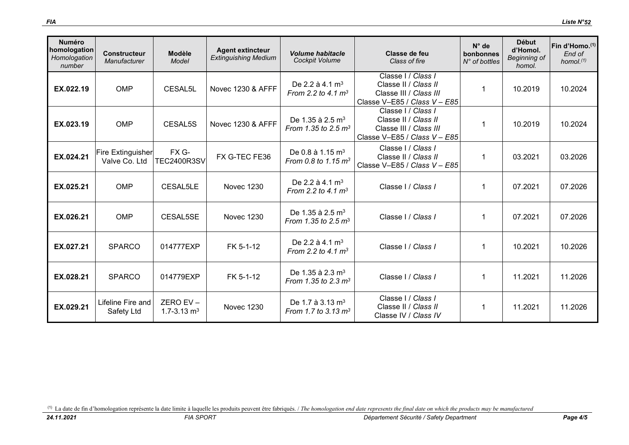| <b>Numéro</b><br>homologation<br>Homologation<br>number | <b>Constructeur</b><br>Manufacturer | <b>Modèle</b><br>Model               | <b>Agent extincteur</b><br><b>Extinguishing Medium</b> | <b>Volume habitacle</b><br>Cockpit Volume                       | Classe de feu<br>Class of fire                                                                       | $N^{\circ}$ de<br>bonbonnes<br>$N^{\circ}$ of bottles | <b>Début</b><br>d'Homol.<br><b>Beginning of</b><br>homol. | Fin d'Homo. <sup>(1)</sup><br>End of<br>homol. <sup>(1)</sup> |
|---------------------------------------------------------|-------------------------------------|--------------------------------------|--------------------------------------------------------|-----------------------------------------------------------------|------------------------------------------------------------------------------------------------------|-------------------------------------------------------|-----------------------------------------------------------|---------------------------------------------------------------|
| EX.022.19                                               | <b>OMP</b>                          | CESAL5L                              | Novec 1230 & AFFF                                      | De 2.2 à 4.1 $m3$<br>From 2.2 to 4.1 $m^3$                      | Classe I / Class I<br>Classe II / Class II<br>Classe III / Class III<br>Classe V-E85 / Class V - E85 |                                                       | 10.2019                                                   | 10.2024                                                       |
| EX.023.19                                               | <b>OMP</b>                          | CESAL5S                              | Novec 1230 & AFFF                                      | De 1.35 à 2.5 m <sup>3</sup><br>From 1.35 to 2.5 $m^3$          | Classe I / Class I<br>Classe II / Class II<br>Classe III / Class III<br>Classe V-E85 / Class V - E85 |                                                       | 10.2019                                                   | 10.2024                                                       |
| EX.024.21                                               | Fire Extinguisher<br>Valve Co. Ltd  | FX G-<br><b>TEC2400R3SV</b>          | FX G-TEC FE36                                          | De 0.8 à 1.15 $m^3$<br>From 0.8 to 1.15 $m^3$                   | Classe I / Class I<br>Classe II / Class II<br>Classe V-E85 / Class V - E85                           | 1                                                     | 03.2021                                                   | 03.2026                                                       |
| EX.025.21                                               | <b>OMP</b>                          | CESAL5LE                             | <b>Novec 1230</b>                                      | De 2.2 à 4.1 $m3$<br>From 2.2 to 4.1 $m^3$                      | Classe I / Class I                                                                                   | 1                                                     | 07.2021                                                   | 07.2026                                                       |
| EX.026.21                                               | <b>OMP</b>                          | CESAL5SE                             | <b>Novec 1230</b>                                      | De 1.35 à 2.5 m <sup>3</sup><br>From 1.35 to 2.5 $m^3$          | Classe I / Class I                                                                                   | -1                                                    | 07.2021                                                   | 07.2026                                                       |
| EX.027.21                                               | <b>SPARCO</b>                       | 014777EXP                            | FK 5-1-12                                              | De 2.2 à 4.1 $\rm m^3$<br>From 2.2 to 4.1 $m^3$                 | Classe I / Class I                                                                                   | 1                                                     | 10.2021                                                   | 10.2026                                                       |
| EX.028.21                                               | <b>SPARCO</b>                       | 014779EXP                            | FK 5-1-12                                              | De 1.35 à 2.3 m <sup>3</sup><br>From 1.35 to 2.3 $m^3$          | Classe I / Class I                                                                                   | -1                                                    | 11.2021                                                   | 11.2026                                                       |
| EX.029.21                                               | Lifeline Fire and<br>Safety Ltd     | ZERO EV $-$<br>1.7-3.13 $\text{m}^3$ | <b>Novec 1230</b>                                      | De 1.7 à 3.13 m <sup>3</sup><br>From 1.7 to 3.13 m <sup>3</sup> | Classe I / Class I<br>Classe II / Class II<br>Classe IV / Class IV                                   | -1                                                    | 11.2021                                                   | 11.2026                                                       |